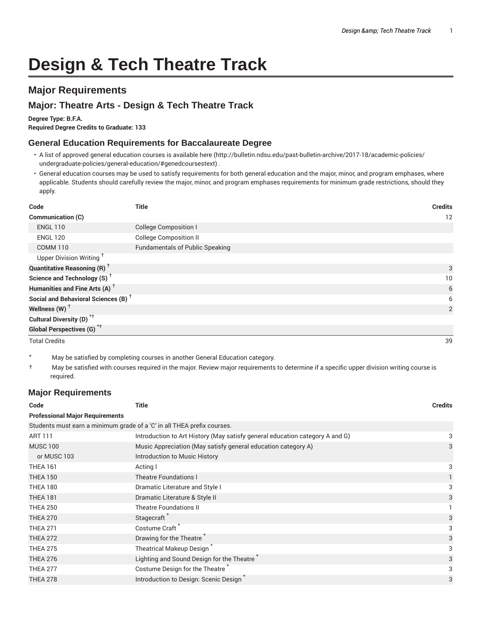# **Design & Tech Theatre Track**

# **Major Requirements**

## **Major: Theatre Arts - Design & Tech Theatre Track**

#### **Degree Type: B.F.A.**

**Required Degree Credits to Graduate: 133**

### **General Education Requirements for Baccalaureate Degree**

- A list of approved general education courses is available here (http://bulletin.ndsu.edu/past-bulletin-archive/2017-18/academic-policies/ undergraduate-policies/general-education/#genedcoursestext) .
- General education courses may be used to satisfy requirements for both general education and the major, minor, and program emphases, where applicable. Students should carefully review the major, minor, and program emphases requirements for minimum grade restrictions, should they apply.

| Code                                            | <b>Title</b>                           | <b>Credits</b> |
|-------------------------------------------------|----------------------------------------|----------------|
| Communication (C)                               |                                        | 12             |
| <b>ENGL 110</b>                                 | <b>College Composition I</b>           |                |
| <b>ENGL 120</b>                                 | <b>College Composition II</b>          |                |
| <b>COMM 110</b>                                 | <b>Fundamentals of Public Speaking</b> |                |
| Upper Division Writing <sup>+</sup>             |                                        |                |
| <b>Quantitative Reasoning (R)</b> <sup>†</sup>  |                                        | 3              |
| Science and Technology (S) <sup>+</sup>         |                                        | 10             |
| Humanities and Fine Arts (A) <sup>+</sup>       |                                        | 6              |
| Social and Behavioral Sciences (B) <sup>+</sup> |                                        | 6              |
| Wellness $(W)$ <sup>+</sup>                     |                                        | $\overline{2}$ |
| Cultural Diversity (D) <sup>*†</sup>            |                                        |                |
| <b>Global Perspectives (G)</b> * <sup>†</sup>   |                                        |                |
| <b>Total Credits</b>                            |                                        | 39             |

- \* May be satisfied by completing courses in another General Education category.
- † May be satisfied with courses required in the major. Review major requirements to determine if a specific upper division writing course is required.

## **Major Requirements**

| Code                                                                    | <b>Title</b>                                                                 | <b>Credits</b> |
|-------------------------------------------------------------------------|------------------------------------------------------------------------------|----------------|
| <b>Professional Major Requirements</b>                                  |                                                                              |                |
| Students must earn a minimum grade of a 'C' in all THEA prefix courses. |                                                                              |                |
| <b>ART 111</b>                                                          | Introduction to Art History (May satisfy general education category A and G) | 3              |
| <b>MUSC 100</b>                                                         | Music Appreciation (May satisfy general education category A)                | 3              |
| or MUSC 103                                                             | Introduction to Music History                                                |                |
| <b>THEA 161</b>                                                         | Acting I                                                                     | 3              |
| <b>THEA 150</b>                                                         | <b>Theatre Foundations I</b>                                                 |                |
| <b>THEA 180</b>                                                         | Dramatic Literature and Style I                                              | 3              |
| <b>THEA 181</b>                                                         | Dramatic Literature & Style II                                               | 3              |
| <b>THEA 250</b>                                                         | <b>Theatre Foundations II</b>                                                |                |
| <b>THEA 270</b>                                                         | Stagecraft <sup>®</sup>                                                      | 3              |
| <b>THEA 271</b>                                                         | Costume Craft <sup>*</sup>                                                   | 3              |
| <b>THEA 272</b>                                                         | Drawing for the Theatre                                                      | 3              |
| <b>THEA 275</b>                                                         | <b>Theatrical Makeup Design</b>                                              | 3              |
| <b>THEA 276</b>                                                         | Lighting and Sound Design for the Theatre                                    | 3              |
| <b>THEA 277</b>                                                         | Costume Design for the Theatre                                               | 3              |
| <b>THEA 278</b>                                                         | Introduction to Design: Scenic Design                                        | 3              |